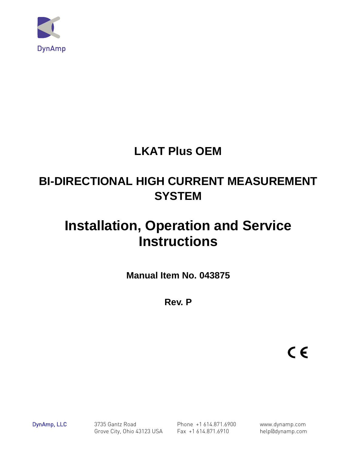

# **LKAT Plus OEM**

# **BI-DIRECTIONAL HIGH CURRENT MEASUREMENT SYSTEM**

# **Installation, Operation and Service Instructions**

**Manual Item No. 043875** 

**Rev. P** 

 $C \in$ 

DynAmp, LLC 3735 Gantz Road Phone +1 614.871.6900 www.dynamp.com Grove City, Ohio 43123 USA Fax +1 614.871.6910 help@dynamp.com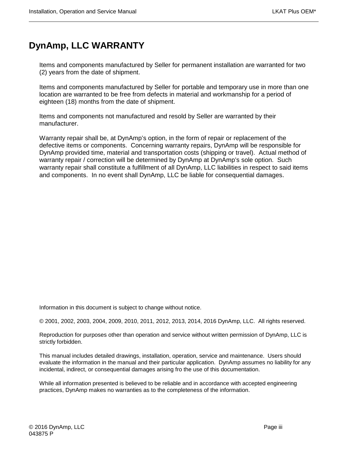### **DynAmp, LLC WARRANTY**

Items and components manufactured by Seller for permanent installation are warranted for two (2) years from the date of shipment.

Items and components manufactured by Seller for portable and temporary use in more than one location are warranted to be free from defects in material and workmanship for a period of eighteen (18) months from the date of shipment.

Items and components not manufactured and resold by Seller are warranted by their manufacturer.

Warranty repair shall be, at DynAmp's option, in the form of repair or replacement of the defective items or components. Concerning warranty repairs, DynAmp will be responsible for DynAmp provided time, material and transportation costs (shipping or travel). Actual method of warranty repair / correction will be determined by DynAmp at DynAmp's sole option. Such warranty repair shall constitute a fulfillment of all DynAmp, LLC liabilities in respect to said items and components. In no event shall DynAmp, LLC be liable for consequential damages.

Information in this document is subject to change without notice.

© 2001, 2002, 2003, 2004, 2009, 2010, 2011, 2012, 2013, 2014, 2016 DynAmp, LLC. All rights reserved.

Reproduction for purposes other than operation and service without written permission of DynAmp, LLC is strictly forbidden.

This manual includes detailed drawings, installation, operation, service and maintenance. Users should evaluate the information in the manual and their particular application. DynAmp assumes no liability for any incidental, indirect, or consequential damages arising fro the use of this documentation.

While all information presented is believed to be reliable and in accordance with accepted engineering practices, DynAmp makes no warranties as to the completeness of the information.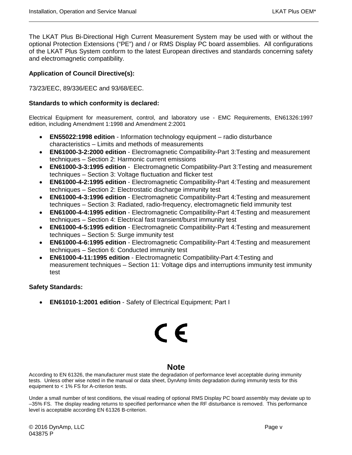The LKAT Plus Bi-Directional High Current Measurement System may be used with or without the optional Protection Extensions ("PE") and / or RMS Display PC board assemblies. All configurations of the LKAT Plus System conform to the latest European directives and standards concerning safety and electromagnetic compatibility.

#### **Application of Council Directive(s):**

73/23/EEC, 89/336/EEC and 93/68/EEC.

#### **Standards to which conformity is declared:**

Electrical Equipment for measurement, control, and laboratory use - EMC Requirements, EN61326:1997 edition, including Amendment 1:1998 and Amendment 2:2001

- **EN55022:1998 edition** Information technology equipment radio disturbance characteristics – Limits and methods of measurements
- **EN61000-3-2:2000 edition** Electromagnetic Compatibility-Part 3:Testing and measurement techniques – Section 2: Harmonic current emissions
- **EN61000-3-3:1995 edition** Electromagnetic Compatibility-Part 3:Testing and measurement techniques – Section 3: Voltage fluctuation and flicker test
- **EN61000-4-2:1995 edition** Electromagnetic Compatibility-Part 4:Testing and measurement techniques – Section 2: Electrostatic discharge immunity test
- **EN61000-4-3:1996 edition** Electromagnetic Compatibility-Part 4:Testing and measurement techniques – Section 3: Radiated, radio-frequency, electromagnetic field immunity test
- **EN61000-4-4:1995 edition** Electromagnetic Compatibility-Part 4:Testing and measurement techniques – Section 4: Electrical fast transient/burst immunity test
- **EN61000-4-5:1995 edition** Electromagnetic Compatibility-Part 4:Testing and measurement techniques – Section 5: Surge immunity test
- **EN61000-4-6:1995 edition** Electromagnetic Compatibility-Part 4:Testing and measurement techniques – Section 6: Conducted immunity test
- **EN61000-4-11:1995 edition** Electromagnetic Compatibility-Part 4:Testing and measurement techniques – Section 11: Voltage dips and interruptions immunity test immunity test

#### **Safety Standards:**

• **EN61010-1:2001 edition** - Safety of Electrical Equipment; Part I

# C E

#### **Note**

According to EN 61326, the manufacturer must state the degradation of performance level acceptable during immunity tests. Unless other wise noted in the manual or data sheet, DynAmp limits degradation during immunity tests for this equipment to < 1% FS for A-criterion tests.

Under a small number of test conditions, the visual reading of optional RMS Display PC board assembly may deviate up to –35% FS. The display reading returns to specified performance when the RF disturbance is removed. This performance level is acceptable according EN 61326 B-criterion.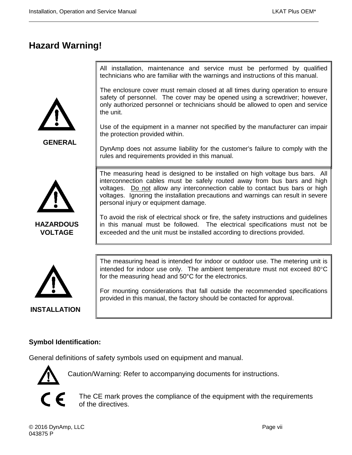### **Hazard Warning!**

**GENERAL**

All installation, maintenance and service must be performed by qualified technicians who are familiar with the warnings and instructions of this manual.

The enclosure cover must remain closed at all times during operation to ensure safety of personnel. The cover may be opened using a screwdriver; however, only authorized personnel or technicians should be allowed to open and service the unit.

Use of the equipment in a manner not specified by the manufacturer can impair the protection provided within.

DynAmp does not assume liability for the customer's failure to comply with the rules and requirements provided in this manual.



**HAZARDOUS VOLTAGE**

The measuring head is designed to be installed on high voltage bus bars. All interconnection cables must be safely routed away from bus bars and high voltages. Do not allow any interconnection cable to contact bus bars or high voltages. Ignoring the installation precautions and warnings can result in severe personal injury or equipment damage.

To avoid the risk of electrical shock or fire, the safety instructions and guidelines in this manual must be followed. The electrical specifications must not be exceeded and the unit must be installed according to directions provided.



**INSTALLATION**

The measuring head is intended for indoor or outdoor use. The metering unit is intended for indoor use only. The ambient temperature must not exceed 80°C for the measuring head and 50°C for the electronics.

For mounting considerations that fall outside the recommended specifications provided in this manual, the factory should be contacted for approval.

#### **Symbol Identification:**

General definitions of safety symbols used on equipment and manual.



Caution/Warning: Refer to accompanying documents for instructions.



The CE mark proves the compliance of the equipment with the requirements of the directives.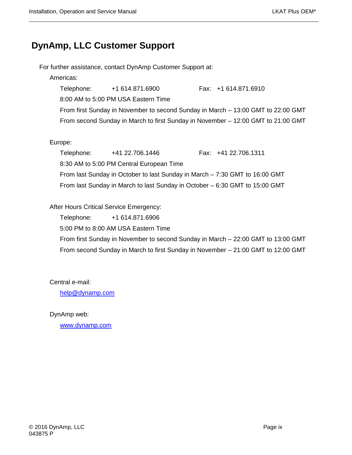### **DynAmp, LLC Customer Support**

For further assistance, contact DynAmp Customer Support at:

#### Americas:

Telephone: +1 614.871.6900 Fax: +1 614.871.6910 8:00 AM to 5:00 PM USA Eastern Time From first Sunday in November to second Sunday in March – 13:00 GMT to 22:00 GMT From second Sunday in March to first Sunday in November – 12:00 GMT to 21:00 GMT

#### Europe:

Telephone: +41 22.706.1446 Fax: +41 22.706.1311 8:30 AM to 5:00 PM Central European Time From last Sunday in October to last Sunday in March – 7:30 GMT to 16:00 GMT From last Sunday in March to last Sunday in October – 6:30 GMT to 15:00 GMT

#### After Hours Critical Service Emergency:

Telephone: +1 614.871.6906

5:00 PM to 8:00 AM USA Eastern Time

From first Sunday in November to second Sunday in March – 22:00 GMT to 13:00 GMT From second Sunday in March to first Sunday in November – 21:00 GMT to 12:00 GMT

Central e-mail:

[help@dynamp.com](mailto:help@dynamp.com)

DynAmp web:

[www.dynamp.com](http://www.dynamp.com/)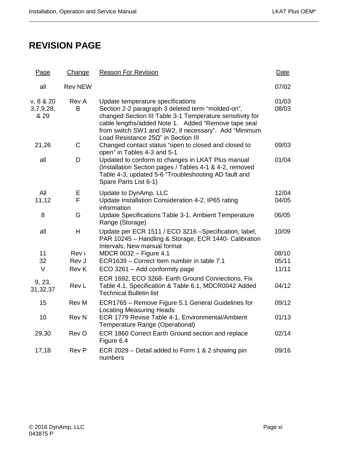### **REVISION PAGE**

| Page                           | Change         | <b>Reason For Revision</b>                                                                                                                                                                                                                                                                                        | Date           |
|--------------------------------|----------------|-------------------------------------------------------------------------------------------------------------------------------------------------------------------------------------------------------------------------------------------------------------------------------------------------------------------|----------------|
| all                            | <b>Rev NEW</b> |                                                                                                                                                                                                                                                                                                                   | 07/02          |
| v, 8 & 20<br>3,7,9,28,<br>& 29 | Rev A<br>в     | Update temperature specifications<br>Section 2-2 paragraph 3 deleted term "molded-on",<br>changed Section III Table 3-1 Temperature sensitivity for<br>cable lengths/added Note 1. Added "Remove tape seal<br>from switch SW1 and SW2, if necessary". Add "Minimum<br>Load Resistance $25\Omega$ " in Section III | 01/03<br>08/03 |
| 21,26                          | C              | Changed contact status "open to closed and closed to<br>open" in Tables 4-3 and 5-1                                                                                                                                                                                                                               | 09/03          |
| all                            | D              | Updated to conform to changes in LKAT Plus manual<br>(Installation Section pages / Tables 4-1 & 4-2, removed<br>Table 4-3, updated 5-6 "Troubleshooting AD fault and<br>Spare Parts List 6-1)                                                                                                                     | 01/04          |
| All<br>11,12                   | Е<br>F         | Update to DynAmp, LLC<br>Update Installation Consideration 4-2, IP65 rating<br>information                                                                                                                                                                                                                        | 12/04<br>04/05 |
| 8                              | G              | Update Specifications Table 3-1, Ambient Temperature<br>Range (Storage)                                                                                                                                                                                                                                           | 06/05          |
| all                            | H              | Update per ECR 1511 / ECO 3216 -Specification, label,<br>PAR 10245 - Handling & Storage, ECR 1440- Calibration<br>Intervals, New manual format                                                                                                                                                                    | 10/09          |
| 11                             | Rev i          | MDCR 0032 - Figure 4.1                                                                                                                                                                                                                                                                                            | 08/10          |
| 32                             | Rev J          | ECR1639 - Correct Item number in table 7.1                                                                                                                                                                                                                                                                        | 05/11          |
| $\vee$                         | <b>Rev K</b>   | ECO 3261 - Add conformity page                                                                                                                                                                                                                                                                                    | 11/11          |
| 9, 23,<br>31,32,37             | Rev L          | ECR 1692, ECO 3268- Earth Ground Connections, Fix<br>Table 4.1. Specification & Table 6.1, MDCR0042 Added<br><b>Technical Bulletin list</b>                                                                                                                                                                       | 04/12          |
| 15                             | Rev M          | ECR1765 - Remove Figure 5.1 General Guidelines for<br><b>Locating Measuring Heads</b>                                                                                                                                                                                                                             | 09/12          |
| 10                             | <b>Rev N</b>   | ECR 1779 Revise Table 4-1, Environmental/Ambient<br>Temperature Range (Operational)                                                                                                                                                                                                                               | 01/13          |
| 29,30                          | Rev O          | ECR 1860 Correct Earth Ground section and replace<br>Figure 6.4                                                                                                                                                                                                                                                   | 02/14          |
| 17,18                          | Rev P          | ECR 2029 – Detail added to Form 1 & 2 showing pin<br>numbers                                                                                                                                                                                                                                                      | 09/16          |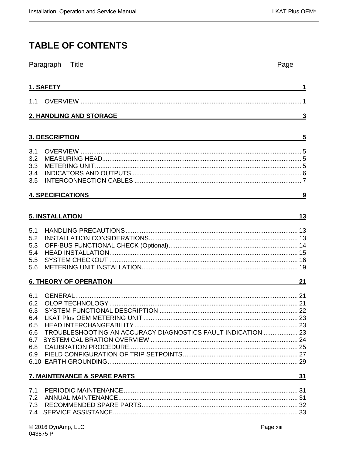### **TABLE OF CONTENTS**

|            | Paragraph<br>Title                                           | Page |
|------------|--------------------------------------------------------------|------|
|            | 1. SAFETY                                                    |      |
| 1.1        |                                                              |      |
|            | <b>2. HANDLING AND STORAGE</b>                               | 3    |
|            | 3. DESCRIPTION                                               | 5    |
|            |                                                              |      |
| 3.1<br>3.2 |                                                              |      |
| 3.3        |                                                              |      |
| 3.4        |                                                              |      |
| 3.5        |                                                              |      |
|            | <b>4. SPECIFICATIONS</b>                                     | 9    |
|            |                                                              |      |
|            | <b>5. INSTALLATION</b>                                       | 13   |
| 5.1        |                                                              |      |
| 5.2        |                                                              |      |
| 5.3        |                                                              |      |
| 5.4        |                                                              |      |
| 5.5        |                                                              |      |
| 5.6        |                                                              |      |
|            | <b>6. THEORY OF OPERATION</b>                                | 21   |
| 6.1        |                                                              |      |
| 6.2        |                                                              |      |
| 6.3        |                                                              |      |
| 6.4        |                                                              |      |
| 6.5        |                                                              |      |
| 6.6        | TROUBLESHOOTING AN ACCURACY DIAGNOSTICS FAULT INDICATION  23 |      |
|            |                                                              |      |
| 6.8        |                                                              |      |
|            |                                                              |      |
|            | 7. MAINTENANCE & SPARE PARTS                                 | 31   |
|            |                                                              |      |
|            |                                                              |      |
|            |                                                              |      |
|            |                                                              |      |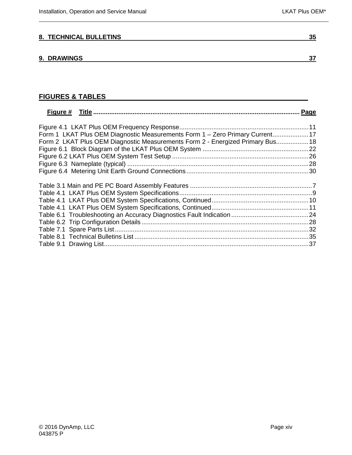#### **[8. TECHNICAL BULLETINS](#page-48-0) 35**

#### **[9. DRAWINGS](#page-50-0) 37**

### **FIGURES & TABLES**

| Form 1 LKAT Plus OEM Diagnostic Measurements Form 1 - Zero Primary Current 17  |  |
|--------------------------------------------------------------------------------|--|
| Form 2 LKAT Plus OEM Diagnostic Measurements Form 2 - Energized Primary Bus 18 |  |
|                                                                                |  |
|                                                                                |  |
|                                                                                |  |
|                                                                                |  |
|                                                                                |  |
|                                                                                |  |
|                                                                                |  |
|                                                                                |  |
|                                                                                |  |
|                                                                                |  |
|                                                                                |  |
|                                                                                |  |
|                                                                                |  |
|                                                                                |  |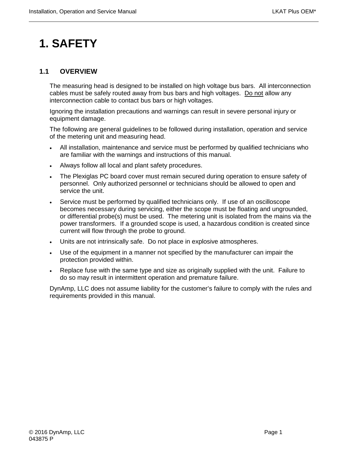# <span id="page-14-0"></span>**1. SAFETY**

#### <span id="page-14-1"></span>**1.1 OVERVIEW**

The measuring head is designed to be installed on high voltage bus bars. All interconnection cables must be safely routed away from bus bars and high voltages. Do not allow any interconnection cable to contact bus bars or high voltages.

Ignoring the installation precautions and warnings can result in severe personal injury or equipment damage.

The following are general guidelines to be followed during installation, operation and service of the metering unit and measuring head.

- All installation, maintenance and service must be performed by qualified technicians who are familiar with the warnings and instructions of this manual.
- Always follow all local and plant safety procedures.
- The Plexiglas PC board cover must remain secured during operation to ensure safety of personnel. Only authorized personnel or technicians should be allowed to open and service the unit.
- Service must be performed by qualified technicians only. If use of an oscilloscope becomes necessary during servicing, either the scope must be floating and ungrounded, or differential probe(s) must be used. The metering unit is isolated from the mains via the power transformers. If a grounded scope is used, a hazardous condition is created since current will flow through the probe to ground.
- Units are not intrinsically safe. Do not place in explosive atmospheres.
- Use of the equipment in a manner not specified by the manufacturer can impair the protection provided within.
- Replace fuse with the same type and size as originally supplied with the unit. Failure to do so may result in intermittent operation and premature failure.

DynAmp, LLC does not assume liability for the customer's failure to comply with the rules and requirements provided in this manual.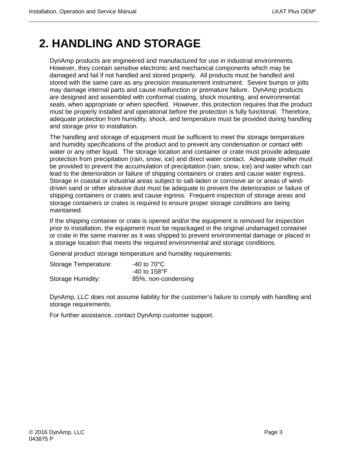### <span id="page-16-0"></span>**2. HANDLING AND STORAGE**

DynAmp products are engineered and manufactured for use in industrial environments. However, they contain sensitive electronic and mechanical components which may be damaged and fail if not handled and stored properly. All products must be handled and stored with the same care as any precision measurement instrument. Severe bumps or jolts may damage internal parts and cause malfunction or premature failure. DynAmp products are designed and assembled with conformal coating, shock mounting, and environmental seals, when appropriate or when specified. However, this protection requires that the product must be properly installed and operational before the protection is fully functional. Therefore, adequate protection from humidity, shock, and temperature must be provided during handling and storage prior to installation.

The handling and storage of equipment must be sufficient to meet the storage temperature and humidity specifications of the product and to prevent any condensation or contact with water or any other liquid. The storage location and container or crate must provide adequate protection from precipitation (rain, snow, ice) and direct water contact. Adequate shelter must be provided to prevent the accumulation of precipitation (rain, snow, ice) and water which can lead to the deterioration or failure of shipping containers or crates and cause water ingress. Storage in coastal or industrial areas subject to salt-laden or corrosive air or areas of winddriven sand or other abrasive dust must be adequate to prevent the deterioration or failure of shipping containers or crates and cause ingress. Frequent inspection of storage areas and storage containers or crates is required to ensure proper storage conditions are being maintained.

If the shipping container or crate is opened and/or the equipment is removed for inspection prior to installation, the equipment must be repackaged in the original undamaged container or crate in the same manner as it was shipped to prevent environmental damage or placed in a storage location that meets the required environmental and storage conditions.

General product storage temperature and humidity requirements:

| Storage Temperature: | $-40$ to $70^{\circ}$ C         |  |  |
|----------------------|---------------------------------|--|--|
|                      | -40 to 158 $\mathrm{^{\circ}F}$ |  |  |
| Storage Humidity:    | 85%, non-condensing             |  |  |

DynAmp, LLC does not assume liability for the customer's failure to comply with handling and storage requirements.

For further assistance, contact DynAmp customer support.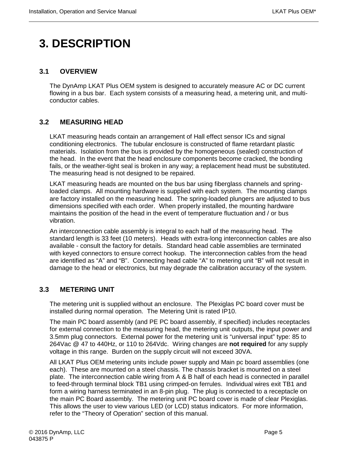# <span id="page-18-0"></span>**3. DESCRIPTION**

#### <span id="page-18-1"></span>**3.1 OVERVIEW**

The DynAmp LKAT Plus OEM system is designed to accurately measure AC or DC current flowing in a bus bar. Each system consists of a measuring head, a metering unit, and multiconductor cables.

#### <span id="page-18-2"></span>**3.2 MEASURING HEAD**

LKAT measuring heads contain an arrangement of Hall effect sensor ICs and signal conditioning electronics. The tubular enclosure is constructed of flame retardant plastic materials. Isolation from the bus is provided by the homogeneous (sealed) construction of the head. In the event that the head enclosure components become cracked, the bonding fails, or the weather-tight seal is broken in any way; a replacement head must be substituted. The measuring head is not designed to be repaired.

LKAT measuring heads are mounted on the bus bar using fiberglass channels and springloaded clamps. All mounting hardware is supplied with each system. The mounting clamps are factory installed on the measuring head. The spring-loaded plungers are adjusted to bus dimensions specified with each order. When properly installed, the mounting hardware maintains the position of the head in the event of temperature fluctuation and / or bus vibration.

An interconnection cable assembly is integral to each half of the measuring head. The standard length is 33 feet (10 meters). Heads with extra-long interconnection cables are also available - consult the factory for details. Standard head cable assemblies are terminated with keyed connectors to ensure correct hookup. The interconnection cables from the head are identified as "A" and "B". Connecting head cable "A" to metering unit "B" will not result in damage to the head or electronics, but may degrade the calibration accuracy of the system.

#### <span id="page-18-3"></span>**3.3 METERING UNIT**

The metering unit is supplied without an enclosure. The Plexiglas PC board cover must be installed during normal operation. The Metering Unit is rated IP10.

The main PC board assembly (and PE PC board assembly, if specified) includes receptacles for external connection to the measuring head, the metering unit outputs, the input power and 3.5mm plug connectors. External power for the metering unit is "universal input" type: 85 to 264Vac @ 47 to 440Hz, or 110 to 264Vdc. Wiring changes are **not required** for any supply voltage in this range. Burden on the supply circuit will not exceed 30VA.

All LKAT Plus OEM metering units include power supply and Main pc board assemblies (one each). These are mounted on a steel chassis. The chassis bracket is mounted on a steel plate. The interconnection cable wiring from A & B half of each head is connected in parallel to feed-through terminal block TB1 using crimped-on ferrules. Individual wires exit TB1 and form a wiring harness terminated in an 8-pin plug. The plug is connected to a receptacle on the main PC Board assembly. The metering unit PC board cover is made of clear Plexiglas. This allows the user to view various LED (or LCD) status indicators. For more information, refer to the "Theory of Operation" section of this manual.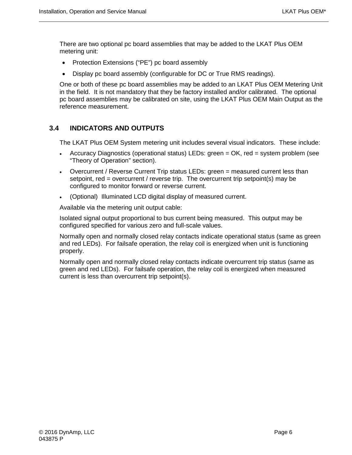There are two optional pc board assemblies that may be added to the LKAT Plus OEM metering unit:

- Protection Extensions ("PE") pc board assembly
- Display pc board assembly (configurable for DC or True RMS readings).

One or both of these pc board assemblies may be added to an LKAT Plus OEM Metering Unit in the field. It is not mandatory that they be factory installed and/or calibrated. The optional pc board assemblies may be calibrated on site, using the LKAT Plus OEM Main Output as the reference measurement.

#### <span id="page-19-0"></span>**3.4 INDICATORS AND OUTPUTS**

The LKAT Plus OEM System metering unit includes several visual indicators. These include:

- Accuracy Diagnostics (operational status) LEDs: green = OK, red = system problem (see "Theory of Operation" section).
- Overcurrent / Reverse Current Trip status LEDs: green = measured current less than setpoint, red = overcurrent / reverse trip. The overcurrent trip setpoint(s) may be configured to monitor forward or reverse current.
- (Optional) Illuminated LCD digital display of measured current.

Available via the metering unit output cable:

Isolated signal output proportional to bus current being measured. This output may be configured specified for various zero and full-scale values.

Normally open and normally closed relay contacts indicate operational status (same as green and red LEDs). For failsafe operation, the relay coil is energized when unit is functioning properly.

Normally open and normally closed relay contacts indicate overcurrent trip status (same as green and red LEDs). For failsafe operation, the relay coil is energized when measured current is less than overcurrent trip setpoint(s).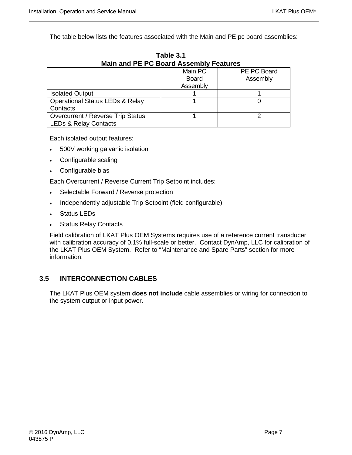The table below lists the features associated with the Main and PE pc board assemblies:

| Main and PE PC Board Assembly Features     |              |             |  |
|--------------------------------------------|--------------|-------------|--|
|                                            | Main PC      | PE PC Board |  |
|                                            | <b>Board</b> | Assembly    |  |
|                                            | Assembly     |             |  |
| <b>Isolated Output</b>                     |              |             |  |
| <b>Operational Status LEDs &amp; Relay</b> |              |             |  |
| Contacts                                   |              |             |  |
| Overcurrent / Reverse Trip Status          |              |             |  |
| <b>LEDs &amp; Relay Contacts</b>           |              |             |  |

**Table 3.1 Main and PE PC Board Assembly Features**

Each isolated output features:

- 500V working galvanic isolation
- Configurable scaling
- Configurable bias

Each Overcurrent / Reverse Current Trip Setpoint includes:

- Selectable Forward / Reverse protection
- Independently adjustable Trip Setpoint (field configurable)
- Status LEDs
- **Status Relay Contacts**

Field calibration of LKAT Plus OEM Systems requires use of a reference current transducer with calibration accuracy of 0.1% full-scale or better. Contact DynAmp, LLC for calibration of the LKAT Plus OEM System. Refer to "Maintenance and Spare Parts" section for more information.

#### <span id="page-20-0"></span>**3.5 INTERCONNECTION CABLES**

The LKAT Plus OEM system **does not include** cable assemblies or wiring for connection to the system output or input power.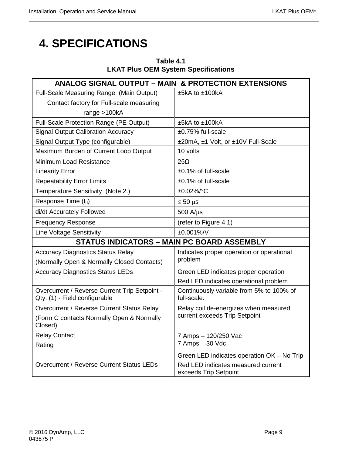# <span id="page-22-0"></span>**4. SPECIFICATIONS**

| Table 4.1                                  |  |
|--------------------------------------------|--|
| <b>LKAT Plus OEM System Specifications</b> |  |

| <b>ANALOG SIGNAL OUTPUT - MAIN &amp; PROTECTION EXTENSIONS</b>                 |                                                             |  |  |
|--------------------------------------------------------------------------------|-------------------------------------------------------------|--|--|
| Full-Scale Measuring Range (Main Output)                                       | ±5kA to ±100kA                                              |  |  |
| Contact factory for Full-scale measuring                                       |                                                             |  |  |
| range $>100kA$                                                                 |                                                             |  |  |
| Full-Scale Protection Range (PE Output)                                        | ±5kA to ±100kA                                              |  |  |
| <b>Signal Output Calibration Accuracy</b>                                      | ±0.75% full-scale                                           |  |  |
| Signal Output Type (configurable)                                              | ±20mA, ±1 Volt, or ±10V Full-Scale                          |  |  |
| Maximum Burden of Current Loop Output                                          | 10 volts                                                    |  |  |
| Minimum Load Resistance                                                        | $25\Omega$                                                  |  |  |
| <b>Linearity Error</b>                                                         | $±0.1\%$ of full-scale                                      |  |  |
| <b>Repeatability Error Limits</b>                                              | ±0.1% of full-scale                                         |  |  |
| Temperature Sensitivity (Note 2.)                                              | ±0.02%/°C                                                   |  |  |
| Response Time $(t_d)$                                                          | $≤ 50 \mu s$                                                |  |  |
| di/dt Accurately Followed                                                      | $500$ A/ $\mu$ s                                            |  |  |
| <b>Frequency Response</b>                                                      | (refer to Figure 4.1)                                       |  |  |
| <b>Line Voltage Sensitivity</b>                                                | ±0.001%/V                                                   |  |  |
| <b>STATUS INDICATORS - MAIN PC BOARD ASSEMBLY</b>                              |                                                             |  |  |
| <b>Accuracy Diagnostics Status Relay</b>                                       | Indicates proper operation or operational                   |  |  |
| (Normally Open & Normally Closed Contacts)                                     | problem                                                     |  |  |
| <b>Accuracy Diagnostics Status LEDs</b>                                        | Green LED indicates proper operation                        |  |  |
|                                                                                | Red LED indicates operational problem                       |  |  |
| Overcurrent / Reverse Current Trip Setpoint -<br>Qty. (1) - Field configurable | Continuously variable from 5% to 100% of<br>full-scale.     |  |  |
| Overcurrent / Reverse Current Status Relay                                     | Relay coil de-energizes when measured                       |  |  |
| (Form C contacts Normally Open & Normally<br>Closed)                           | current exceeds Trip Setpoint                               |  |  |
| <b>Relay Contact</b>                                                           | 7 Amps - 120/250 Vac                                        |  |  |
| Rating                                                                         | 7 Amps - 30 Vdc                                             |  |  |
|                                                                                | Green LED indicates operation OK - No Trip                  |  |  |
| Overcurrent / Reverse Current Status LEDs                                      | Red LED indicates measured current<br>exceeds Trip Setpoint |  |  |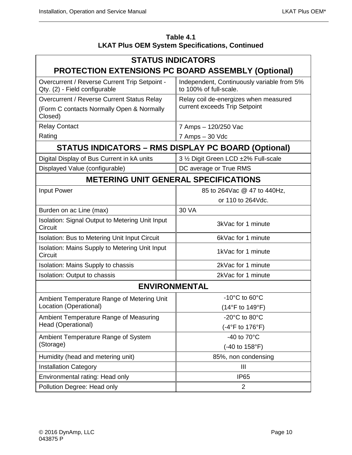| Table 4.1                                             |
|-------------------------------------------------------|
| <b>LKAT Plus OEM System Specifications, Continued</b> |

| <b>STATUS INDICATORS</b>                                                       |                                                                        |  |  |  |
|--------------------------------------------------------------------------------|------------------------------------------------------------------------|--|--|--|
| PROTECTION EXTENSIONS PC BOARD ASSEMBLY (Optional)                             |                                                                        |  |  |  |
| Overcurrent / Reverse Current Trip Setpoint -<br>Qty. (2) - Field configurable | Independent, Continuously variable from 5%<br>to 100% of full-scale.   |  |  |  |
| Overcurrent / Reverse Current Status Relay                                     | Relay coil de-energizes when measured<br>current exceeds Trip Setpoint |  |  |  |
| (Form C contacts Normally Open & Normally<br>Closed)                           |                                                                        |  |  |  |
| <b>Relay Contact</b>                                                           | 7 Amps - 120/250 Vac                                                   |  |  |  |
| Rating                                                                         | 7 Amps - 30 Vdc                                                        |  |  |  |
| <b>STATUS INDICATORS – RMS DISPLAY PC BOARD (Optional)</b>                     |                                                                        |  |  |  |
| Digital Display of Bus Current in kA units                                     | 3 1/2 Digit Green LCD ±2% Full-scale                                   |  |  |  |
| Displayed Value (configurable)                                                 | DC average or True RMS                                                 |  |  |  |
| <b>METERING UNIT GENERAL SPECIFICATIONS</b>                                    |                                                                        |  |  |  |
| Input Power                                                                    | 85 to 264 Vac @ 47 to 440 Hz,                                          |  |  |  |
|                                                                                | or 110 to 264Vdc.                                                      |  |  |  |
| 30 VA<br>Burden on ac Line (max)                                               |                                                                        |  |  |  |
| Isolation: Signal Output to Metering Unit Input<br>Circuit                     | 3kVac for 1 minute                                                     |  |  |  |
| Isolation: Bus to Metering Unit Input Circuit<br>6kVac for 1 minute            |                                                                        |  |  |  |
| Isolation: Mains Supply to Metering Unit Input<br>Circuit                      | 1kVac for 1 minute                                                     |  |  |  |
| Isolation: Mains Supply to chassis                                             | 2kVac for 1 minute                                                     |  |  |  |
| Isolation: Output to chassis                                                   | 2kVac for 1 minute                                                     |  |  |  |
| <b>ENVIRONMENTAL</b>                                                           |                                                                        |  |  |  |
| Ambient Temperature Range of Metering Unit                                     | $-10^{\circ}$ C to 60 $^{\circ}$ C                                     |  |  |  |
| Location (Operational)                                                         | $(14^{\circ}F$ to $149^{\circ}F)$                                      |  |  |  |
| Ambient Temperature Range of Measuring                                         | $-20^{\circ}$ C to 80 $^{\circ}$ C                                     |  |  |  |
| Head (Operational)                                                             | (-4°F to 176°F)                                                        |  |  |  |
| Ambient Temperature Range of System                                            | -40 to $70^{\circ}$ C                                                  |  |  |  |
| (Storage)                                                                      | (-40 to 158°F)                                                         |  |  |  |
| Humidity (head and metering unit)                                              | 85%, non condensing                                                    |  |  |  |
| <b>Installation Category</b>                                                   | $\mathbf{III}$                                                         |  |  |  |
| Environmental rating: Head only                                                | <b>IP65</b>                                                            |  |  |  |
| Pollution Degree: Head only                                                    | 2                                                                      |  |  |  |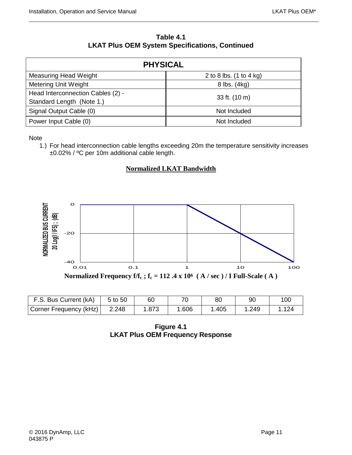#### **Table 4.1 LKAT Plus OEM System Specifications, Continued**

| <b>PHYSICAL</b>                   |                         |  |  |  |
|-----------------------------------|-------------------------|--|--|--|
| Measuring Head Weight             | 2 to 8 lbs. (1 to 4 kg) |  |  |  |
| <b>Metering Unit Weight</b>       | 8 lbs. (4kg)            |  |  |  |
| Head Interconnection Cables (2) - | 33 ft. (10 m)           |  |  |  |
| Standard Length (Note 1.)         |                         |  |  |  |
| Signal Output Cable (0)           | Not Included            |  |  |  |
| Power Input Cable (0)             | Not Included            |  |  |  |

#### **Note**

1.) For head interconnection cable lengths exceeding 20m the temperature sensitivity increases ±0.02% / ºC per 10m additional cable length.

#### **Normalized LKAT Bandwidth**



<span id="page-24-0"></span>

| F.S. Bus Current (kA)  | 5 to 50 | 60    |       | 80    | 90    | 100   |
|------------------------|---------|-------|-------|-------|-------|-------|
| Corner Frequency (kHz) | 2.248   | 1.873 | 1.606 | 1.405 | 1.249 | 1.124 |

**Figure 4.1 LKAT Plus OEM Frequency Response**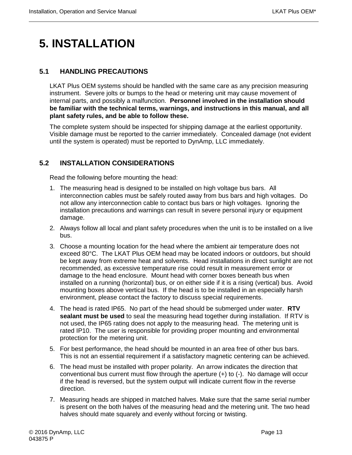# <span id="page-26-0"></span>**5. INSTALLATION**

#### <span id="page-26-1"></span>**5.1 HANDLING PRECAUTIONS**

LKAT Plus OEM systems should be handled with the same care as any precision measuring instrument. Severe jolts or bumps to the head or metering unit may cause movement of internal parts, and possibly a malfunction. **Personnel involved in the installation should be familiar with the technical terms, warnings, and instructions in this manual, and all plant safety rules, and be able to follow these.**

The complete system should be inspected for shipping damage at the earliest opportunity. Visible damage must be reported to the carrier immediately. Concealed damage (not evident until the system is operated) must be reported to DynAmp, LLC immediately.

#### <span id="page-26-2"></span>**5.2 INSTALLATION CONSIDERATIONS**

Read the following before mounting the head:

- 1. The measuring head is designed to be installed on high voltage bus bars. All interconnection cables must be safely routed away from bus bars and high voltages. Do not allow any interconnection cable to contact bus bars or high voltages. Ignoring the installation precautions and warnings can result in severe personal injury or equipment damage.
- 2. Always follow all local and plant safety procedures when the unit is to be installed on a live bus.
- 3. Choose a mounting location for the head where the ambient air temperature does not exceed 80°C. The LKAT Plus OEM head may be located indoors or outdoors, but should be kept away from extreme heat and solvents. Head installations in direct sunlight are not recommended, as excessive temperature rise could result in measurement error or damage to the head enclosure. Mount head with corner boxes beneath bus when installed on a running (horizontal) bus, or on either side if it is a rising (vertical) bus. Avoid mounting boxes above vertical bus. If the head is to be installed in an especially harsh environment, please contact the factory to discuss special requirements.
- 4. The head is rated IP65. No part of the head should be submerged under water. **RTV sealant must be used** to seal the measuring head together during installation. If RTV is not used, the IP65 rating does not apply to the measuring head. The metering unit is rated IP10. The user is responsible for providing proper mounting and environmental protection for the metering unit.
- 5. For best performance, the head should be mounted in an area free of other bus bars. This is not an essential requirement if a satisfactory magnetic centering can be achieved.
- 6. The head must be installed with proper polarity. An arrow indicates the direction that conventional bus current must flow through the aperture  $(+)$  to  $(-)$ . No damage will occur if the head is reversed, but the system output will indicate current flow in the reverse direction.
- 7. Measuring heads are shipped in matched halves. Make sure that the same serial number is present on the both halves of the measuring head and the metering unit. The two head halves should mate squarely and evenly without forcing or twisting.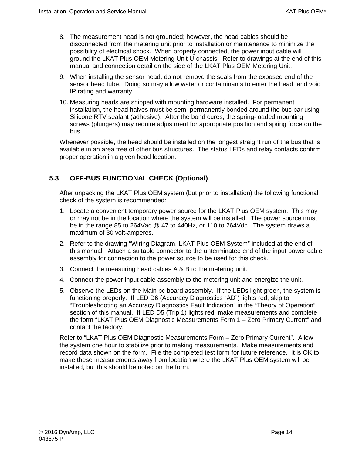- 8. The measurement head is not grounded; however, the head cables should be disconnected from the metering unit prior to installation or maintenance to minimize the possibility of electrical shock. When properly connected, the power input cable will ground the LKAT Plus OEM Metering Unit U-chassis. Refer to drawings at the end of this manual and connection detail on the side of the LKAT Plus OEM Metering Unit.
- 9. When installing the sensor head, do not remove the seals from the exposed end of the sensor head tube. Doing so may allow water or contaminants to enter the head, and void IP rating and warranty.
- 10. Measuring heads are shipped with mounting hardware installed. For permanent installation, the head halves must be semi-permanently bonded around the bus bar using Silicone RTV sealant (adhesive). After the bond cures, the spring-loaded mounting screws (plungers) may require adjustment for appropriate position and spring force on the bus.

Whenever possible, the head should be installed on the longest straight run of the bus that is available in an area free of other bus structures. The status LEDs and relay contacts confirm proper operation in a given head location.

#### <span id="page-27-0"></span>**5.3 OFF-BUS FUNCTIONAL CHECK (Optional)**

After unpacking the LKAT Plus OEM system (but prior to installation) the following functional check of the system is recommended:

- 1. Locate a convenient temporary power source for the LKAT Plus OEM system. This may or may not be in the location where the system will be installed. The power source must be in the range 85 to 264Vac @ 47 to 440Hz, or 110 to 264Vdc. The system draws a maximum of 30 volt-amperes.
- 2. Refer to the drawing "Wiring Diagram, LKAT Plus OEM System" included at the end of this manual. Attach a suitable connector to the unterminated end of the input power cable assembly for connection to the power source to be used for this check.
- 3. Connect the measuring head cables A & B to the metering unit.
- 4. Connect the power input cable assembly to the metering unit and energize the unit.
- 5. Observe the LEDs on the Main pc board assembly. If the LEDs light green, the system is functioning properly. If LED D6 (Accuracy Diagnostics "AD") lights red, skip to "Troubleshooting an Accuracy Diagnostics Fault Indication" in the "Theory of Operation" section of this manual. If LED D5 (Trip 1) lights red, make measurements and complete the form "LKAT Plus OEM Diagnostic Measurements Form 1 – Zero Primary Current" and contact the factory.

Refer to "LKAT Plus OEM Diagnostic Measurements Form – Zero Primary Current". Allow the system one hour to stabilize prior to making measurements. Make measurements and record data shown on the form. File the completed test form for future reference. It is OK to make these measurements away from location where the LKAT Plus OEM system will be installed, but this should be noted on the form.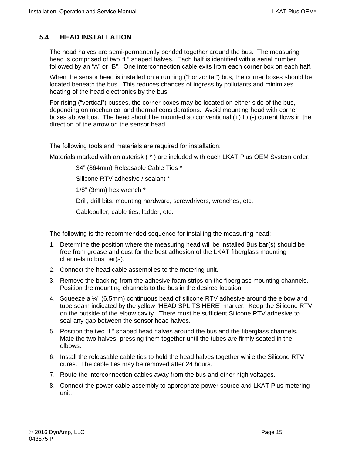#### <span id="page-28-0"></span>**5.4 HEAD INSTALLATION**

The head halves are semi-permanently bonded together around the bus. The measuring head is comprised of two "L" shaped halves. Each half is identified with a serial number followed by an "A" or "B". One interconnection cable exits from each corner box on each half.

When the sensor head is installed on a running ("horizontal") bus, the corner boxes should be located beneath the bus. This reduces chances of ingress by pollutants and minimizes heating of the head electronics by the bus.

For rising ("vertical") busses, the corner boxes may be located on either side of the bus, depending on mechanical and thermal considerations. Avoid mounting head with corner boxes above bus. The head should be mounted so conventional (+) to (-) current flows in the direction of the arrow on the sensor head.

The following tools and materials are required for installation:

Materials marked with an asterisk ( \* ) are included with each LKAT Plus OEM System order.

| 34" (864mm) Releasable Cable Ties *                                |
|--------------------------------------------------------------------|
| Silicone RTV adhesive / sealant *                                  |
| $1/8$ " (3mm) hex wrench $*$                                       |
| Drill, drill bits, mounting hardware, screwdrivers, wrenches, etc. |
| Cablepuller, cable ties, ladder, etc.                              |

The following is the recommended sequence for installing the measuring head:

- 1. Determine the position where the measuring head will be installed Bus bar(s) should be free from grease and dust for the best adhesion of the LKAT fiberglass mounting channels to bus bar(s).
- 2. Connect the head cable assemblies to the metering unit.
- 3. Remove the backing from the adhesive foam strips on the fiberglass mounting channels. Position the mounting channels to the bus in the desired location.
- 4. Squeeze a ¼" (6.5mm) continuous bead of silicone RTV adhesive around the elbow and tube seam indicated by the yellow "HEAD SPLITS HERE" marker. Keep the Silicone RTV on the outside of the elbow cavity. There must be sufficient Silicone RTV adhesive to seal any gap between the sensor head halves.
- 5. Position the two "L" shaped head halves around the bus and the fiberglass channels. Mate the two halves, pressing them together until the tubes are firmly seated in the elbows.
- 6. Install the releasable cable ties to hold the head halves together while the Silicone RTV cures. The cable ties may be removed after 24 hours.
- 7. Route the interconnection cables away from the bus and other high voltages.
- 8. Connect the power cable assembly to appropriate power source and LKAT Plus metering unit.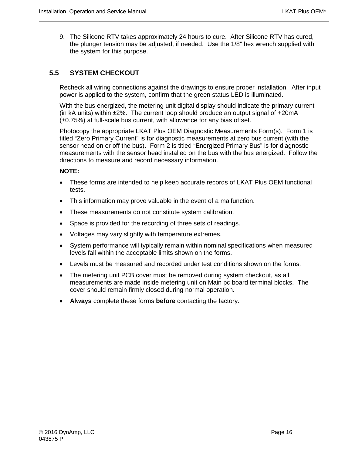9. The Silicone RTV takes approximately 24 hours to cure. After Silicone RTV has cured, the plunger tension may be adjusted, if needed. Use the 1/8" hex wrench supplied with the system for this purpose.

#### <span id="page-29-0"></span>**5.5 SYSTEM CHECKOUT**

Recheck all wiring connections against the drawings to ensure proper installation. After input power is applied to the system, confirm that the green status LED is illuminated.

With the bus energized, the metering unit digital display should indicate the primary current (in kA units) within  $\pm 2\%$ . The current loop should produce an output signal of  $\pm 20$ mA (±0.75%) at full-scale bus current, with allowance for any bias offset.

Photocopy the appropriate LKAT Plus OEM Diagnostic Measurements Form(s). Form 1 is titled "Zero Primary Current" is for diagnostic measurements at zero bus current (with the sensor head on or off the bus). Form 2 is titled "Energized Primary Bus" is for diagnostic measurements with the sensor head installed on the bus with the bus energized. Follow the directions to measure and record necessary information.

#### **NOTE:**

- These forms are intended to help keep accurate records of LKAT Plus OEM functional tests.
- This information may prove valuable in the event of a malfunction.
- These measurements do not constitute system calibration.
- Space is provided for the recording of three sets of readings.
- Voltages may vary slightly with temperature extremes.
- System performance will typically remain within nominal specifications when measured levels fall within the acceptable limits shown on the forms.
- Levels must be measured and recorded under test conditions shown on the forms.
- The metering unit PCB cover must be removed during system checkout, as all measurements are made inside metering unit on Main pc board terminal blocks. The cover should remain firmly closed during normal operation.
- **Always** complete these forms **before** contacting the factory.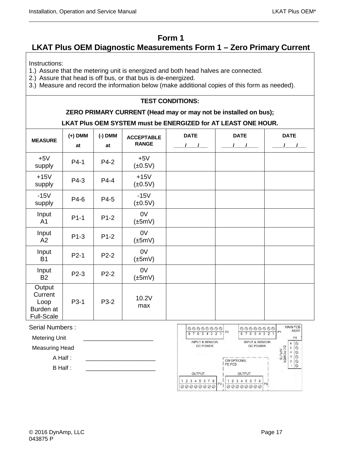#### **Form 1**

### <span id="page-30-0"></span>**LKAT Plus OEM Diagnostic Measurements Form 1 – Zero Primary Current**

Instructions:

1.) Assure that the metering unit is energized and both head halves are connected.

2.) Assure that head is off bus, or that bus is de-energized.

3.) Measure and record the information below (make additional copies of this form as needed).

#### **TEST CONDITIONS:**

#### **ZERO PRIMARY CURRENT (Head may or may not be installed on bus);**

#### **LKAT Plus OEM SYSTEM must be ENERGIZED for AT LEAST ONE HOUR.**

| <b>MEASURE</b>                                              | $(+)$ DMM<br>at | $(-)$ DMM<br>at | <b>ACCEPTABLE</b><br><b>RANGE</b> | <b>DATE</b> | <b>DATE</b> | <b>DATE</b> |
|-------------------------------------------------------------|-----------------|-----------------|-----------------------------------|-------------|-------------|-------------|
| $+5V$<br>supply                                             | $P4-1$          | P4-2            | $+5V$<br>$(\pm 0.5V)$             |             |             |             |
| $+15V$<br>supply                                            | P4-3            | P4-4            | $+15V$<br>$(\pm 0.5V)$            |             |             |             |
| $-15V$<br>supply                                            | P4-6            | P4-5            | $-15V$<br>$(\pm 0.5V)$            |             |             |             |
| Input<br>A <sub>1</sub>                                     | $P1-1$          | $P1-2$          | 0V<br>$(\pm 5mV)$                 |             |             |             |
| Input<br>A2                                                 | $P1-3$          | $P1-2$          | 0V<br>$(\pm 5mV)$                 |             |             |             |
| Input<br><b>B1</b>                                          | $P2-1$          | $P2-2$          | 0V<br>$(\pm 5mV)$                 |             |             |             |
| Input<br><b>B2</b>                                          | P2-3            | $P2-2$          | 0V<br>$(\pm 5mV)$                 |             |             |             |
| Output<br>Current<br>Loop<br>Burden at<br><b>Full-Scale</b> | P3-1            | P3-2            | 10.2V<br>max                      |             |             |             |

Serial Numbers :

Metering Unit

Measuring Head

A Half :

 $B$  Half :

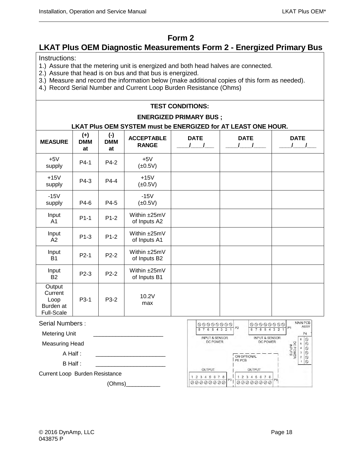#### **Form 2**

#### <span id="page-31-0"></span>**LKAT Plus OEM Diagnostic Measurements Form 2 - Energized Primary Bus**

Instructions:

- 1.) Assure that the metering unit is energized and both head halves are connected.
- 2.) Assure that head is on bus and that bus is energized.
- 3.) Measure and record the information below (make additional copies of this form as needed).
- 4.) Record Serial Number and Current Loop Burden Resistance (Ohms)

#### **TEST CONDITIONS: ENERGIZED PRIMARY BUS ; LKAT Plus OEM SYSTEM must be ENERGIZED for AT LEAST ONE HOUR. MEASURE (+) DMM at (-) DMM at ACCEPTABLE RANGE DATE**  $\sqrt{2}$ **DATE**  $\overline{\phantom{a}}$ **DATE**  $\sqrt{2}$  $+5V$ +5V | P4-1 | P4-2 | +5V<br>supply | P4-1 | P4-2 | <u>(+0.5</u>)  $(\pm 0.5V)$ +15V  $+15V$  P4-3 P4-4  $+15V$ <br>supply P4-3 P4-4  $+15V$  $(\pm 0.5V)$ -15V supply  $\vert$  P4-6  $\vert$  P4-5 -15V  $(\pm 0.5V)$ Input A1 P1-1 P1-2 Within ±25mV of Inputs A2 Input A2 P1-3 P1-2 Within ±25mV of Inputs A1 Input B1 P2-1 P2-2 Within ±25mV of Inputs B2 Input B2 P2-3 P2-2 Within ±25mV of Inputs B1 **Output Current** Loop Burden at Full-Scale  $P3-1$   $P3-2$  10.2V max

#### Serial Numbers :

Metering Unit

Measuring Head

A Half :

B Half :

Current Loop Burden Resistance

(Ohms)\_\_\_\_\_\_\_\_\_\_\_

| $\begin{picture}(160,170) \put(0,0){\line(1,0){100}} \put(10,0){\line(1,0){100}} \put(10,0){\line(1,0){100}} \put(10,0){\line(1,0){100}} \put(10,0){\line(1,0){100}} \put(10,0){\line(1,0){100}} \put(10,0){\line(1,0){100}} \put(10,0){\line(1,0){100}} \put(10,0){\line(1,0){100}} \put(10,0){\line(1,0){100}} \put(10,0){\line(1,0){100$<br>R | $\begin{picture}(160,170) \put(0,0){\line(1,0){100}} \put(10,0){\line(1,0){100}} \put(10,0){\line(1,0){100}} \put(10,0){\line(1,0){100}} \put(10,0){\line(1,0){100}} \put(10,0){\line(1,0){100}} \put(10,0){\line(1,0){100}} \put(10,0){\line(1,0){100}} \put(10,0){\line(1,0){100}} \put(10,0){\line(1,0){100}} \put(10,0){\line(1,0){100$<br>P <sub>2</sub> | <b>MAIN PCB</b><br>ASSY<br>P <sub>1</sub><br>P <sub>4</sub>                            |
|--------------------------------------------------------------------------------------------------------------------------------------------------------------------------------------------------------------------------------------------------------------------------------------------------------------------------------------------------|---------------------------------------------------------------------------------------------------------------------------------------------------------------------------------------------------------------------------------------------------------------------------------------------------------------------------------------------------------------|----------------------------------------------------------------------------------------|
| <b>INPUT &amp; SENSOR</b><br><b>DC POWER</b>                                                                                                                                                                                                                                                                                                     | <b>INPUT &amp; SENSOR</b><br>DC POWER<br>ON OPTIONAL<br>PE PCB                                                                                                                                                                                                                                                                                                | ⊗<br>6<br>DC POWER<br>INPUTS<br>◎<br>5<br>⇘<br>4<br>3<br>⊗<br>O<br>$\overline{2}$<br>⊚ |
| <b>OUTPUT</b>                                                                                                                                                                                                                                                                                                                                    | OUTPUT                                                                                                                                                                                                                                                                                                                                                        |                                                                                        |
| 8<br>$-7$<br>6<br>5<br>P3<br>$\oslash \oslash$                                                                                                                                                                                                                                                                                                   | 8<br>5<br>6<br>з<br>P <sub>9</sub><br>$\oslash$                                                                                                                                                                                                                                                                                                               |                                                                                        |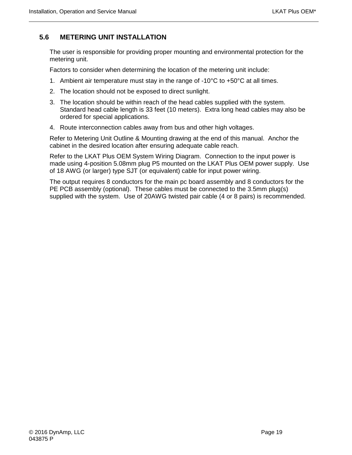#### <span id="page-32-0"></span>**5.6 METERING UNIT INSTALLATION**

The user is responsible for providing proper mounting and environmental protection for the metering unit.

Factors to consider when determining the location of the metering unit include:

- 1. Ambient air temperature must stay in the range of  $-10^{\circ}$ C to  $+50^{\circ}$ C at all times.
- 2. The location should not be exposed to direct sunlight.
- 3. The location should be within reach of the head cables supplied with the system. Standard head cable length is 33 feet (10 meters). Extra long head cables may also be ordered for special applications.
- 4. Route interconnection cables away from bus and other high voltages.

Refer to Metering Unit Outline & Mounting drawing at the end of this manual. Anchor the cabinet in the desired location after ensuring adequate cable reach.

Refer to the LKAT Plus OEM System Wiring Diagram. Connection to the input power is made using 4-position 5.08mm plug P5 mounted on the LKAT Plus OEM power supply. Use of 18 AWG (or larger) type SJT (or equivalent) cable for input power wiring.

The output requires 8 conductors for the main pc board assembly and 8 conductors for the PE PCB assembly (optional). These cables must be connected to the 3.5mm plug(s) supplied with the system. Use of 20AWG twisted pair cable (4 or 8 pairs) is recommended.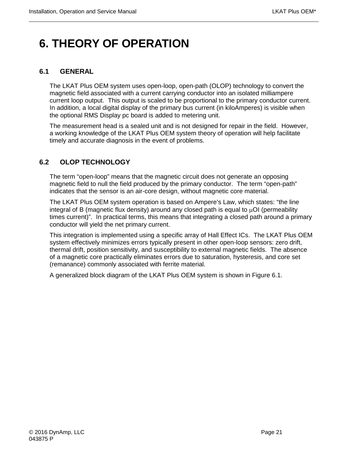# <span id="page-34-0"></span>**6. THEORY OF OPERATION**

#### <span id="page-34-1"></span>**6.1 GENERAL**

The LKAT Plus OEM system uses open-loop, open-path (OLOP) technology to convert the magnetic field associated with a current carrying conductor into an isolated milliampere current loop output. This output is scaled to be proportional to the primary conductor current. In addition, a local digital display of the primary bus current (in kiloAmperes) is visible when the optional RMS Display pc board is added to metering unit.

The measurement head is a sealed unit and is not designed for repair in the field. However, a working knowledge of the LKAT Plus OEM system theory of operation will help facilitate timely and accurate diagnosis in the event of problems.

#### <span id="page-34-2"></span>**6.2 OLOP TECHNOLOGY**

The term "open-loop" means that the magnetic circuit does not generate an opposing magnetic field to null the field produced by the primary conductor. The term "open-path" indicates that the sensor is an air-core design, without magnetic core material.

The LKAT Plus OEM system operation is based on Ampere's Law, which states: "the line integral of B (magnetic flux density) around any closed path is equal to  $\mu$ OI (permeability times current)". In practical terms, this means that integrating a closed path around a primary conductor will yield the net primary current.

This integration is implemented using a specific array of Hall Effect ICs. The LKAT Plus OEM system effectively minimizes errors typically present in other open-loop sensors: zero drift, thermal drift, position sensitivity, and susceptibility to external magnetic fields. The absence of a magnetic core practically eliminates errors due to saturation, hysteresis, and core set (remanance) commonly associated with ferrite material.

A generalized block diagram of the LKAT Plus OEM system is shown in Figure 6.1.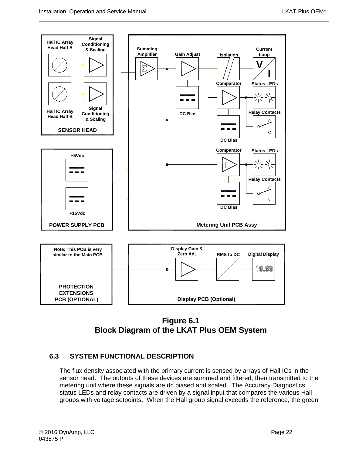

**Figure 6.1 Block Diagram of the LKAT Plus OEM System**

#### <span id="page-35-1"></span><span id="page-35-0"></span>**6.3 SYSTEM FUNCTIONAL DESCRIPTION**

The flux density associated with the primary current is sensed by arrays of Hall ICs in the sensor head. The outputs of these devices are summed and filtered, then transmitted to the metering unit where these signals are dc biased and scaled. The Accuracy Diagnostics status LEDs and relay contacts are driven by a signal input that compares the various Hall groups with voltage setpoints. When the Hall group signal exceeds the reference, the green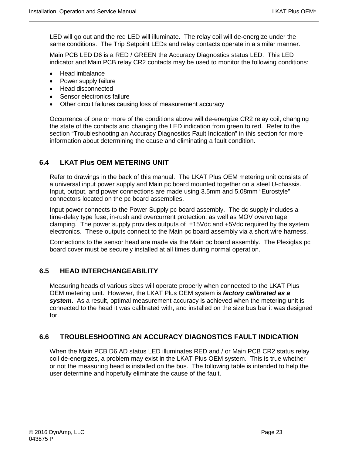LED will go out and the red LED will illuminate. The relay coil will de-energize under the same conditions. The Trip Setpoint LEDs and relay contacts operate in a similar manner.

Main PCB LED D6 is a RED / GREEN the Accuracy Diagnostics status LED. This LED indicator and Main PCB relay CR2 contacts may be used to monitor the following conditions:

- Head imbalance
- Power supply failure
- Head disconnected
- Sensor electronics failure
- Other circuit failures causing loss of measurement accuracy

Occurrence of one or more of the conditions above will de-energize CR2 relay coil, changing the state of the contacts and changing the LED indication from green to red. Refer to the section "Troubleshooting an Accuracy Diagnostics Fault Indication" in this section for more information about determining the cause and eliminating a fault condition.

#### <span id="page-36-0"></span>**6.4 LKAT Plus OEM METERING UNIT**

Refer to drawings in the back of this manual. The LKAT Plus OEM metering unit consists of a universal input power supply and Main pc board mounted together on a steel U-chassis. Input, output, and power connections are made using 3.5mm and 5.08mm "Eurostyle" connectors located on the pc board assemblies.

Input power connects to the Power Supply pc board assembly. The dc supply includes a time-delay type fuse, in-rush and overcurrent protection, as well as MOV overvoltage clamping. The power supply provides outputs of  $\pm$ 15Vdc and  $\pm$ 5Vdc required by the system electronics. These outputs connect to the Main pc board assembly via a short wire harness.

Connections to the sensor head are made via the Main pc board assembly. The Plexiglas pc board cover must be securely installed at all times during normal operation.

#### <span id="page-36-1"></span>**6.5 HEAD INTERCHANGEABILITY**

Measuring heads of various sizes will operate properly when connected to the LKAT Plus OEM metering unit. However, the LKAT Plus OEM system is *factory calibrated as a system***.** As a result, optimal measurement accuracy is achieved when the metering unit is connected to the head it was calibrated with, and installed on the size bus bar it was designed for.

#### <span id="page-36-2"></span>**6.6 TROUBLESHOOTING AN ACCURACY DIAGNOSTICS FAULT INDICATION**

When the Main PCB D6 AD status LED illuminates RED and / or Main PCB CR2 status relay coil de-energizes, a problem may exist in the LKAT Plus OEM system. This is true whether or not the measuring head is installed on the bus. The following table is intended to help the user determine and hopefully eliminate the cause of the fault.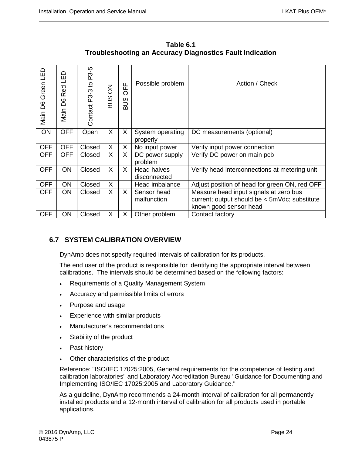ပ္ပ

 $\Box$ 

| Green LED<br>Main D6 | ▭<br>巴<br><b>Red</b><br>8G<br>Main | ပှာ<br>ည်<br>Contact P3-3 to | δ<br><b>SUB</b> | 푼<br>O<br><b>SUB</b> | Possible problem             | Action / Check                                                          |
|----------------------|------------------------------------|------------------------------|-----------------|----------------------|------------------------------|-------------------------------------------------------------------------|
| ON                   | <b>OFF</b>                         | Open                         | X               | X                    | System operating<br>properly | DC measurements (optional)                                              |
| <b>OFF</b>           | <b>OFF</b>                         | Closed                       | X               | X                    | No input power               | Verify input power connection                                           |
| <b>OFF</b>           | <b>OFF</b>                         | Closed                       | $\sf X$         | X                    | DC power supply<br>problem   | Verify DC power on main pcb                                             |
| <b>OFF</b>           | <b>ON</b>                          | Closed                       | X               | X                    | Head halves<br>disconnected  | Verify head interconnections at metering unit                           |
| <b>OFF</b>           | <b>ON</b>                          | Closed                       | X               |                      | Head imbalance               | Adjust position of head for green ON, red OFF                           |
| <b>OFF</b>           | <b>ON</b>                          | Closed                       | X               | X                    | Sensor head                  | Measure head input signals at zero bus                                  |
|                      |                                    |                              |                 |                      | malfunction                  | current; output should be < 5mVdc; substitute<br>known good sensor head |
| <b>OFF</b>           | ON                                 | Closed                       | X               | X                    | Other problem                | Contact factory                                                         |

**Table 6.1 Troubleshooting an Accuracy Diagnostics Fault Indication** 

#### <span id="page-37-0"></span>**6.7 SYSTEM CALIBRATION OVERVIEW**

DynAmp does not specify required intervals of calibration for its products.

The end user of the product is responsible for identifying the appropriate interval between calibrations. The intervals should be determined based on the following factors:

- Requirements of a Quality Management System
- Accuracy and permissible limits of errors
- Purpose and usage
- Experience with similar products
- Manufacturer's recommendations
- Stability of the product
- Past history
- Other characteristics of the product

Reference: "ISO/IEC 17025:2005, General requirements for the competence of testing and calibration laboratories" and Laboratory Accreditation Bureau "Guidance for Documenting and Implementing ISO/IEC 17025:2005 and Laboratory Guidance."

As a guideline, DynAmp recommends a 24-month interval of calibration for all permanently installed products and a 12-month interval of calibration for all products used in portable applications.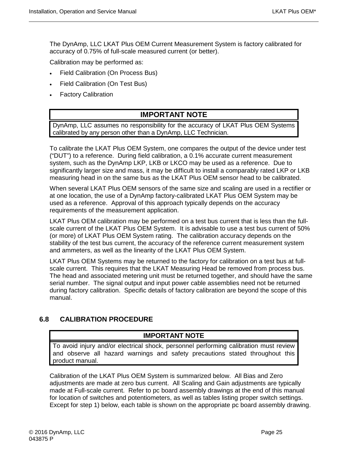The DynAmp, LLC LKAT Plus OEM Current Measurement System is factory calibrated for accuracy of 0.75% of full-scale measured current (or better).

Calibration may be performed as:

- Field Calibration (On Process Bus)
- Field Calibration (On Test Bus)
- **Factory Calibration**

#### **IMPORTANT NOTE**

DynAmp, LLC assumes no responsibility for the accuracy of LKAT Plus OEM Systems calibrated by any person other than a DynAmp, LLC Technician.

To calibrate the LKAT Plus OEM System, one compares the output of the device under test ("DUT") to a reference. During field calibration, a 0.1% accurate current measurement system, such as the DynAmp LKP, LKB or LKCO may be used as a reference. Due to significantly larger size and mass, it may be difficult to install a comparably rated LKP or LKB measuring head in on the same bus as the LKAT Plus OEM sensor head to be calibrated.

When several LKAT Plus OEM sensors of the same size and scaling are used in a rectifier or at one location, the use of a DynAmp factory-calibrated LKAT Plus OEM System may be used as a reference. Approval of this approach typically depends on the accuracy requirements of the measurement application.

LKAT Plus OEM calibration may be performed on a test bus current that is less than the fullscale current of the LKAT Plus OEM System. It is advisable to use a test bus current of 50% (or more) of LKAT Plus OEM System rating. The calibration accuracy depends on the stability of the test bus current, the accuracy of the reference current measurement system and ammeters, as well as the linearity of the LKAT Plus OEM System.

LKAT Plus OEM Systems may be returned to the factory for calibration on a test bus at fullscale current. This requires that the LKAT Measuring Head be removed from process bus. The head and associated metering unit must be returned together, and should have the same serial number. The signal output and input power cable assemblies need not be returned during factory calibration. Specific details of factory calibration are beyond the scope of this manual.

#### <span id="page-38-0"></span>**6.8 CALIBRATION PROCEDURE**

#### **IMPORTANT NOTE**

To avoid injury and/or electrical shock, personnel performing calibration must review and observe all hazard warnings and safety precautions stated throughout this product manual.

Calibration of the LKAT Plus OEM System is summarized below. All Bias and Zero adjustments are made at zero bus current. All Scaling and Gain adjustments are typically made at Full-scale current. Refer to pc board assembly drawings at the end of this manual for location of switches and potentiometers, as well as tables listing proper switch settings. Except for step 1) below, each table is shown on the appropriate pc board assembly drawing.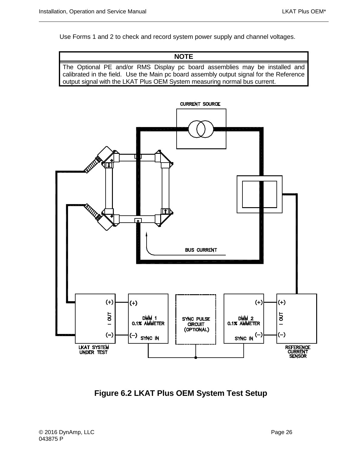Use Forms 1 and 2 to check and record system power supply and channel voltages.

**NOTE** The Optional PE and/or RMS Display pc board assemblies may be installed and calibrated in the field. Use the Main pc board assembly output signal for the Reference output signal with the LKAT Plus OEM System measuring normal bus current.



<span id="page-39-0"></span>**Figure 6.2 LKAT Plus OEM System Test Setup**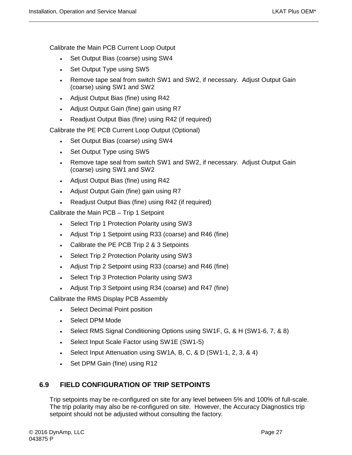Calibrate the Main PCB Current Loop Output

- Set Output Bias (coarse) using SW4
- Set Output Type using SW5
- Remove tape seal from switch SW1 and SW2, if necessary. Adjust Output Gain (coarse) using SW1 and SW2
- Adjust Output Bias (fine) using R42
- Adjust Output Gain (fine) gain using R7
- Readjust Output Bias (fine) using R42 (if required)

Calibrate the PE PCB Current Loop Output (Optional)

- Set Output Bias (coarse) using SW4
- Set Output Type using SW5
- Remove tape seal from switch SW1 and SW2, if necessary. Adjust Output Gain (coarse) using SW1 and SW2
- Adjust Output Bias (fine) using R42
- Adjust Output Gain (fine) gain using R7
- Readjust Output Bias (fine) using R42 (if required)

Calibrate the Main PCB – Trip 1 Setpoint

- Select Trip 1 Protection Polarity using SW3
- Adjust Trip 1 Setpoint using R33 (coarse) and R46 (fine)
- Calibrate the PE PCB Trip 2 & 3 Setpoints
- Select Trip 2 Protection Polarity using SW3
- Adjust Trip 2 Setpoint using R33 (coarse) and R46 (fine)
- Select Trip 3 Protection Polarity using SW3
- Adjust Trip 3 Setpoint using R34 (coarse) and R47 (fine)

Calibrate the RMS Display PCB Assembly

- Select Decimal Point position
- Select DPM Mode
- Select RMS Signal Conditioning Options using SW1F, G, & H (SW1-6, 7, & 8)
- Select Input Scale Factor using SW1E (SW1-5)
- Select Input Attenuation using SW1A, B, C, & D (SW1-1, 2, 3, & 4)
- Set DPM Gain (fine) using R12

#### <span id="page-40-0"></span>**6.9 FIELD CONFIGURATION OF TRIP SETPOINTS**

Trip setpoints may be re-configured on site for any level between 5% and 100% of full-scale. The trip polarity may also be re-configured on site. However, the Accuracy Diagnostics trip setpoint should not be adjusted without consulting the factory.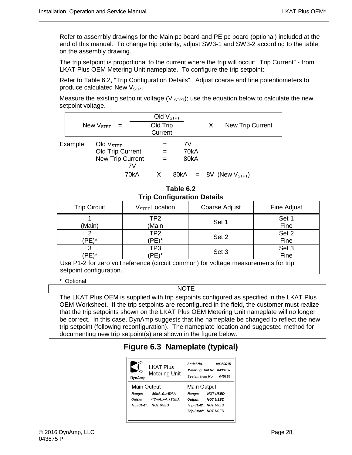Refer to assembly drawings for the Main pc board and PE pc board (optional) included at the end of this manual. To change trip polarity, adjust SW3-1 and SW3-2 according to the table on the assembly drawing.

The trip setpoint is proportional to the current where the trip will occur: "Trip Current" - from LKAT Plus OEM Metering Unit nameplate. To configure the trip setpoint:

Refer to Table 6.2, "Trip Configuration Details". Adjust coarse and fine potentiometers to produce calculated New  $V<sub>STPT</sub>$ .

Measure the existing setpoint voltage (V  $_{S T P T}$ ); use the equation below to calculate the new setpoint voltage.

|          | New $V_{\text{STPT}}$ =                                           |      | Old $VSTPT$<br>Old Trip<br>Current |    |              | X | New Trip Current              |  |
|----------|-------------------------------------------------------------------|------|------------------------------------|----|--------------|---|-------------------------------|--|
| Example: | Old $VSTPT$<br><b>Old Trip Current</b><br><b>New Trip Current</b> | 7V   | $=$<br>$=$                         | 7V | 70kA<br>80kA |   |                               |  |
|          |                                                                   | 70kA |                                    |    |              |   | $80kA = 8V$ (New $V_{STPT}$ ) |  |

**Table 6.2 Trip Configuration Details** 

| <b>Trip Circuit</b>                                                                 | $V_{STPT}$ Location     | Coarse Adjust | Fine Adjust   |  |  |
|-------------------------------------------------------------------------------------|-------------------------|---------------|---------------|--|--|
| (Main)                                                                              | TP2<br>(Main            | Set 1         | Set 1<br>Fine |  |  |
| 'PE)*                                                                               | TP <sub>2</sub><br>PE)* | Set 2         | Set 2<br>Fine |  |  |
| 'PE)*                                                                               | TP3<br>PE)*             | Set 3         | Set 3<br>Fine |  |  |
| Use P1-2 for zero volt reference (circuit common) for voltage measurements for trip |                         |               |               |  |  |

setpoint configuration.

#### **\*** Optional

NOTE

<span id="page-41-0"></span>The LKAT Plus OEM is supplied with trip setpoints configured as specified in the LKAT Plus OEM Worksheet. If the trip setpoints are reconfigured in the field, the customer must realize that the trip setpoints shown on the LKAT Plus OEM Metering Unit nameplate will no longer be correct. In this case, DynAmp suggests that the nameplate be changed to reflect the new trip setpoint (following reconfiguration). The nameplate location and suggested method for documenting new trip setpoint(s) are shown in the figure below.

### **Figure 6.3 Nameplate (typical)**

| DynAmp      | <b>LKAT Plus</b><br>Metering Unit | Senal No.<br>System Item No. | 08050015<br>Metering Unit No. 043696k<br>045125 |
|-------------|-----------------------------------|------------------------------|-------------------------------------------------|
| Main Output |                                   | Main Output                  |                                                 |
| Range:      | -50kA.0.+50kA                     | Range:                       | <b>NOT USED</b>                                 |
| Output:     | -12mA+4+20mA                      | Output:                      | <b>NOT USED</b>                                 |
| Trip Stpt1: | NOT USED                          | Trip Stpt2: NOT USED         |                                                 |
|             |                                   | Trip Stpt2: NOT USED         |                                                 |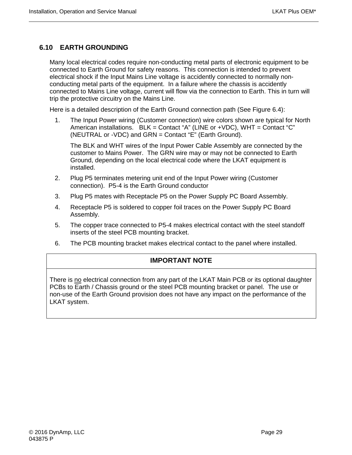#### <span id="page-42-0"></span>**6.10 EARTH GROUNDING**

Many local electrical codes require non-conducting metal parts of electronic equipment to be connected to Earth Ground for safety reasons. This connection is intended to prevent electrical shock if the Input Mains Line voltage is accidently connected to normally nonconducting metal parts of the equipment. In a failure where the chassis is accidently connected to Mains Line voltage, current will flow via the connection to Earth. This in turn will trip the protective circuitry on the Mains Line.

Here is a detailed description of the Earth Ground connection path (See Figure 6.4):

1. The Input Power wiring (Customer connection) wire colors shown are typical for North American installations. BLK = Contact "A" (LINE or +VDC), WHT = Contact "C" (NEUTRAL or -VDC) and GRN = Contact "E" (Earth Ground).

The BLK and WHT wires of the Input Power Cable Assembly are connected by the customer to Mains Power. The GRN wire may or may not be connected to Earth Ground, depending on the local electrical code where the LKAT equipment is installed.

- 2. Plug P5 terminates metering unit end of the Input Power wiring (Customer connection). P5-4 is the Earth Ground conductor
- 3. Plug P5 mates with Receptacle P5 on the Power Supply PC Board Assembly.
- 4. Receptacle P5 is soldered to copper foil traces on the Power Supply PC Board Assembly.
- 5. The copper trace connected to P5-4 makes electrical contact with the steel standoff inserts of the steel PCB mounting bracket.
- 6. The PCB mounting bracket makes electrical contact to the panel where installed.

#### **IMPORTANT NOTE**

There is no electrical connection from any part of the LKAT Main PCB or its optional daughter PCBs to Earth / Chassis ground or the steel PCB mounting bracket or panel. The use or non-use of the Earth Ground provision does not have any impact on the performance of the LKAT system.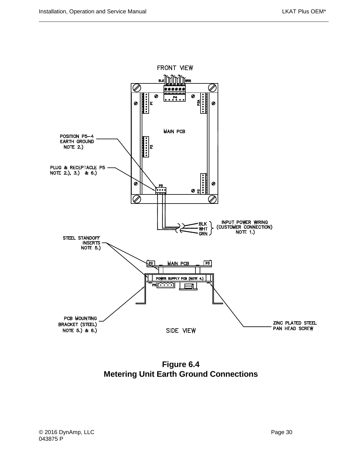

<span id="page-43-0"></span>**Figure 6.4 Metering Unit Earth Ground Connections**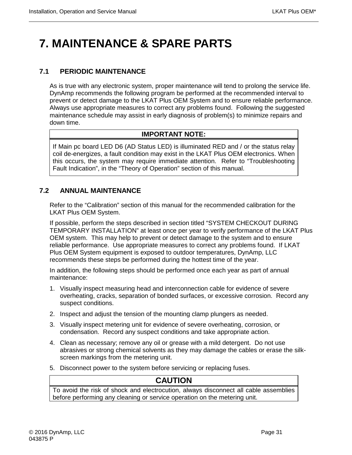# <span id="page-44-0"></span>**7. MAINTENANCE & SPARE PARTS**

#### <span id="page-44-1"></span>**7.1 PERIODIC MAINTENANCE**

As is true with any electronic system, proper maintenance will tend to prolong the service life. DynAmp recommends the following program be performed at the recommended interval to prevent or detect damage to the LKAT Plus OEM System and to ensure reliable performance. Always use appropriate measures to correct any problems found. Following the suggested maintenance schedule may assist in early diagnosis of problem(s) to minimize repairs and down time.

#### **IMPORTANT NOTE:**

If Main pc board LED D6 (AD Status LED) is illuminated RED and / or the status relay coil de-energizes, a fault condition may exist in the LKAT Plus OEM electronics. When this occurs, the system may require immediate attention. Refer to "Troubleshooting Fault Indication", in the "Theory of Operation" section of this manual.

#### <span id="page-44-2"></span>**7.2 ANNUAL MAINTENANCE**

Refer to the "Calibration" section of this manual for the recommended calibration for the LKAT Plus OEM System.

If possible, perform the steps described in section titled "SYSTEM CHECKOUT DURING TEMPORARY INSTALLATION" at least once per year to verify performance of the LKAT Plus OEM system. This may help to prevent or detect damage to the system and to ensure reliable performance. Use appropriate measures to correct any problems found. If LKAT Plus OEM System equipment is exposed to outdoor temperatures, DynAmp, LLC recommends these steps be performed during the hottest time of the year.

In addition, the following steps should be performed once each year as part of annual maintenance:

- 1. Visually inspect measuring head and interconnection cable for evidence of severe overheating, cracks, separation of bonded surfaces, or excessive corrosion. Record any suspect conditions.
- 2. Inspect and adjust the tension of the mounting clamp plungers as needed.
- 3. Visually inspect metering unit for evidence of severe overheating, corrosion, or condensation. Record any suspect conditions and take appropriate action.
- 4. Clean as necessary; remove any oil or grease with a mild detergent. Do not use abrasives or strong chemical solvents as they may damage the cables or erase the silkscreen markings from the metering unit.
- 5. Disconnect power to the system before servicing or replacing fuses.

#### **CAUTION**

To avoid the risk of shock and electrocution, always disconnect all cable assemblies before performing any cleaning or service operation on the metering unit.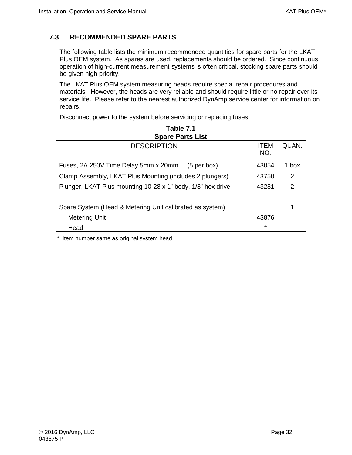#### <span id="page-45-0"></span>**7.3 RECOMMENDED SPARE PARTS**

The following table lists the minimum recommended quantities for spare parts for the LKAT Plus OEM system. As spares are used, replacements should be ordered. Since continuous operation of high-current measurement systems is often critical, stocking spare parts should be given high priority.

The LKAT Plus OEM system measuring heads require special repair procedures and materials. However, the heads are very reliable and should require little or no repair over its service life. Please refer to the nearest authorized DynAmp service center for information on repairs.

Disconnect power to the system before servicing or replacing fuses.

| <b>Spare Parts List</b>                                     |                    |               |  |  |  |
|-------------------------------------------------------------|--------------------|---------------|--|--|--|
| <b>DESCRIPTION</b>                                          | <b>ITEM</b><br>NO. | QUAN.         |  |  |  |
| Fuses, 2A 250V Time Delay 5mm x 20mm (5 per box)            | 43054              | 1 box         |  |  |  |
| Clamp Assembly, LKAT Plus Mounting (includes 2 plungers)    | 43750              | 2             |  |  |  |
| Plunger, LKAT Plus mounting 10-28 x 1" body, 1/8" hex drive | 43281              | $\mathcal{P}$ |  |  |  |
| Spare System (Head & Metering Unit calibrated as system)    |                    | ↿             |  |  |  |
| <b>Metering Unit</b>                                        | 43876              |               |  |  |  |
| Head                                                        | $\star$            |               |  |  |  |

**Table 7.1** 

\* Item number same as original system head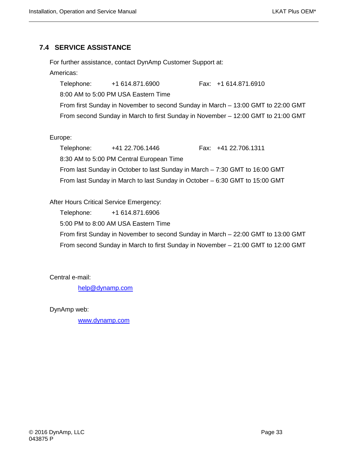#### <span id="page-46-0"></span>**7.4 SERVICE ASSISTANCE**

For further assistance, contact DynAmp Customer Support at:

#### Americas:

Telephone: +1 614.871.6900 Fax: +1 614.871.6910 8:00 AM to 5:00 PM USA Eastern Time From first Sunday in November to second Sunday in March – 13:00 GMT to 22:00 GMT From second Sunday in March to first Sunday in November – 12:00 GMT to 21:00 GMT

#### Europe:

Telephone: +41 22.706.1446 Fax: +41 22.706.1311 8:30 AM to 5:00 PM Central European Time From last Sunday in October to last Sunday in March – 7:30 GMT to 16:00 GMT From last Sunday in March to last Sunday in October – 6:30 GMT to 15:00 GMT

#### After Hours Critical Service Emergency:

Telephone: +1 614.871.6906

5:00 PM to 8:00 AM USA Eastern Time

From first Sunday in November to second Sunday in March – 22:00 GMT to 13:00 GMT From second Sunday in March to first Sunday in November – 21:00 GMT to 12:00 GMT

Central e-mail:

[help@dynamp.com](mailto:help@dynamp.com)

DynAmp web:

[www.dynamp.com](http://www.dynamp.com/)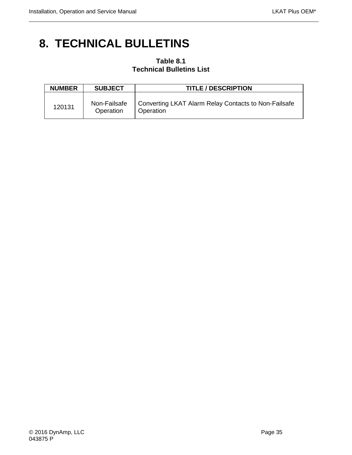### <span id="page-48-0"></span>**8. TECHNICAL BULLETINS**

#### **Table 8.1 Technical Bulletins List**

| <b>NUMBER</b> | <b>SUBJECT</b>            | <b>TITLE / DESCRIPTION</b>                                        |
|---------------|---------------------------|-------------------------------------------------------------------|
| 120131        | Non-Failsafe<br>Operation | Converting LKAT Alarm Relay Contacts to Non-Failsafe<br>Operation |